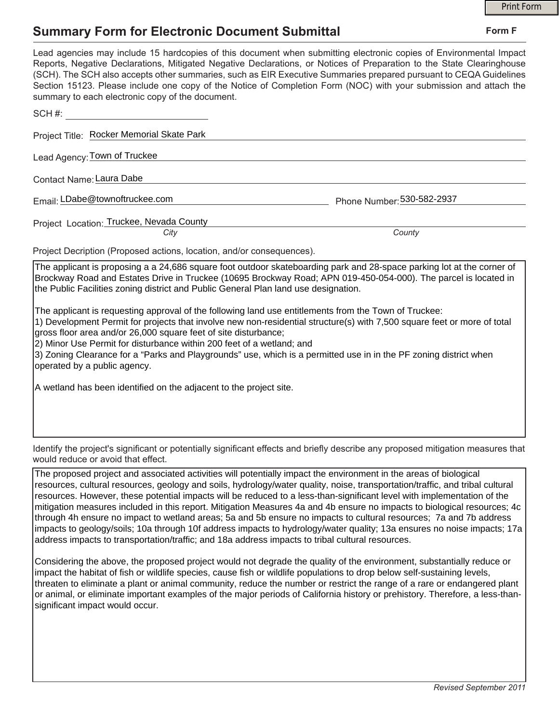## **Summary Form for Electronic Document Submittal**

|                                                                                                                                                                                                                                                                                                                                       |                                                                                                                                                                                                                                                                                                                                                                                                                                                                                                                                                                                                                                                                                                                                                                                                                                                                                                                                                                                                                                                                                                                                                                                                                                                                                                                                                                                 | <b>Print Form</b> |
|---------------------------------------------------------------------------------------------------------------------------------------------------------------------------------------------------------------------------------------------------------------------------------------------------------------------------------------|---------------------------------------------------------------------------------------------------------------------------------------------------------------------------------------------------------------------------------------------------------------------------------------------------------------------------------------------------------------------------------------------------------------------------------------------------------------------------------------------------------------------------------------------------------------------------------------------------------------------------------------------------------------------------------------------------------------------------------------------------------------------------------------------------------------------------------------------------------------------------------------------------------------------------------------------------------------------------------------------------------------------------------------------------------------------------------------------------------------------------------------------------------------------------------------------------------------------------------------------------------------------------------------------------------------------------------------------------------------------------------|-------------------|
| <b>Summary Form for Electronic Document Submittal</b>                                                                                                                                                                                                                                                                                 |                                                                                                                                                                                                                                                                                                                                                                                                                                                                                                                                                                                                                                                                                                                                                                                                                                                                                                                                                                                                                                                                                                                                                                                                                                                                                                                                                                                 | Form F            |
| summary to each electronic copy of the document.                                                                                                                                                                                                                                                                                      | Lead agencies may include 15 hardcopies of this document when submitting electronic copies of Environmental Impact<br>Reports, Negative Declarations, Mitigated Negative Declarations, or Notices of Preparation to the State Clearinghouse<br>(SCH). The SCH also accepts other summaries, such as EIR Executive Summaries prepared pursuant to CEQA Guidelines<br>Section 15123. Please include one copy of the Notice of Completion Form (NOC) with your submission and attach the                                                                                                                                                                                                                                                                                                                                                                                                                                                                                                                                                                                                                                                                                                                                                                                                                                                                                           |                   |
|                                                                                                                                                                                                                                                                                                                                       |                                                                                                                                                                                                                                                                                                                                                                                                                                                                                                                                                                                                                                                                                                                                                                                                                                                                                                                                                                                                                                                                                                                                                                                                                                                                                                                                                                                 |                   |
| Project Title: Rocker Memorial Skate Park                                                                                                                                                                                                                                                                                             |                                                                                                                                                                                                                                                                                                                                                                                                                                                                                                                                                                                                                                                                                                                                                                                                                                                                                                                                                                                                                                                                                                                                                                                                                                                                                                                                                                                 |                   |
| Lead Agency: Town of Truckee                                                                                                                                                                                                                                                                                                          |                                                                                                                                                                                                                                                                                                                                                                                                                                                                                                                                                                                                                                                                                                                                                                                                                                                                                                                                                                                                                                                                                                                                                                                                                                                                                                                                                                                 |                   |
| Contact Name: Laura Dabe                                                                                                                                                                                                                                                                                                              |                                                                                                                                                                                                                                                                                                                                                                                                                                                                                                                                                                                                                                                                                                                                                                                                                                                                                                                                                                                                                                                                                                                                                                                                                                                                                                                                                                                 |                   |
| Email: LDabe@townoftruckee.com                                                                                                                                                                                                                                                                                                        | Phone Number: 530-582-2937                                                                                                                                                                                                                                                                                                                                                                                                                                                                                                                                                                                                                                                                                                                                                                                                                                                                                                                                                                                                                                                                                                                                                                                                                                                                                                                                                      |                   |
| Project Location: Truckee, Nevada County                                                                                                                                                                                                                                                                                              |                                                                                                                                                                                                                                                                                                                                                                                                                                                                                                                                                                                                                                                                                                                                                                                                                                                                                                                                                                                                                                                                                                                                                                                                                                                                                                                                                                                 |                   |
| City                                                                                                                                                                                                                                                                                                                                  | County                                                                                                                                                                                                                                                                                                                                                                                                                                                                                                                                                                                                                                                                                                                                                                                                                                                                                                                                                                                                                                                                                                                                                                                                                                                                                                                                                                          |                   |
| Project Decription (Proposed actions, location, and/or consequences).                                                                                                                                                                                                                                                                 |                                                                                                                                                                                                                                                                                                                                                                                                                                                                                                                                                                                                                                                                                                                                                                                                                                                                                                                                                                                                                                                                                                                                                                                                                                                                                                                                                                                 |                   |
| the Public Facilities zoning district and Public General Plan land use designation.<br>gross floor area and/or 26,000 square feet of site disturbance;<br>2) Minor Use Permit for disturbance within 200 feet of a wetland; and<br>operated by a public agency.<br>A wetland has been identified on the adjacent to the project site. | Brockway Road and Estates Drive in Truckee (10695 Brockway Road; APN 019-450-054-000). The parcel is located in<br>The applicant is requesting approval of the following land use entitlements from the Town of Truckee:<br>1) Development Permit for projects that involve new non-residential structure(s) with 7,500 square feet or more of total<br>3) Zoning Clearance for a "Parks and Playgrounds" use, which is a permitted use in in the PF zoning district when                                                                                                                                                                                                                                                                                                                                                                                                                                                                                                                                                                                                                                                                                                                                                                                                                                                                                                       |                   |
| would reduce or avoid that effect.                                                                                                                                                                                                                                                                                                    | Identify the project's significant or potentially significant effects and briefly describe any proposed mitigation measures that                                                                                                                                                                                                                                                                                                                                                                                                                                                                                                                                                                                                                                                                                                                                                                                                                                                                                                                                                                                                                                                                                                                                                                                                                                                |                   |
| significant impact would occur.                                                                                                                                                                                                                                                                                                       | The proposed project and associated activities will potentially impact the environment in the areas of biological<br>resources, cultural resources, geology and soils, hydrology/water quality, noise, transportation/traffic, and tribal cultural<br>resources. However, these potential impacts will be reduced to a less-than-significant level with implementation of the<br>mitigation measures included in this report. Mitigation Measures 4a and 4b ensure no impacts to biological resources; 4c<br>through 4h ensure no impact to wetland areas; 5a and 5b ensure no impacts to cultural resources; 7a and 7b address<br>impacts to geology/soils; 10a through 10f address impacts to hydrology/water quality; 13a ensures no noise impacts; 17a<br>address impacts to transportation/traffic; and 18a address impacts to tribal cultural resources.<br>Considering the above, the proposed project would not degrade the quality of the environment, substantially reduce or<br>impact the habitat of fish or wildlife species, cause fish or wildlife populations to drop below self-sustaining levels,<br>threaten to eliminate a plant or animal community, reduce the number or restrict the range of a rare or endangered plant<br>or animal, or eliminate important examples of the major periods of California history or prehistory. Therefore, a less-than- |                   |